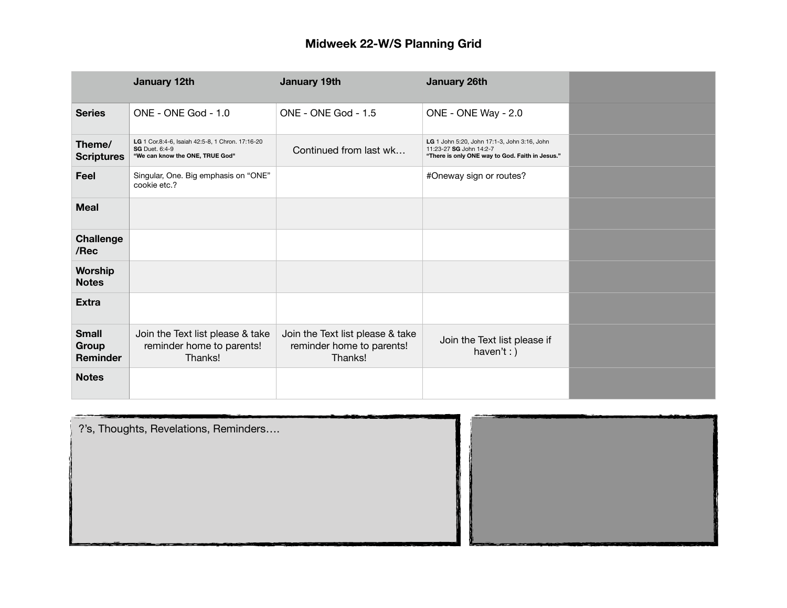|                                   | January 12th                                                                                                 | January 19th                                                             | <b>January 26th</b>                                                                                                        |  |
|-----------------------------------|--------------------------------------------------------------------------------------------------------------|--------------------------------------------------------------------------|----------------------------------------------------------------------------------------------------------------------------|--|
| <b>Series</b>                     | ONE - ONE God - 1.0                                                                                          | ONE - ONE God - 1.5                                                      | ONE - ONE Way - 2.0                                                                                                        |  |
| Theme/<br><b>Scriptures</b>       | LG 1 Cor.8:4-6, Isaiah 42:5-8, 1 Chron. 17:16-20<br><b>SG</b> Duet, 6:4-9<br>"We can know the ONE, TRUE God" | Continued from last wk                                                   | LG 1 John 5:20, John 17:1-3, John 3:16, John<br>11:23-27 SG John 14:2-7<br>"There is only ONE way to God. Faith in Jesus." |  |
| Feel                              | Singular, One. Big emphasis on "ONE"<br>cookie etc.?                                                         |                                                                          | #Oneway sign or routes?                                                                                                    |  |
| <b>Meal</b>                       |                                                                                                              |                                                                          |                                                                                                                            |  |
| <b>Challenge</b><br>/Rec          |                                                                                                              |                                                                          |                                                                                                                            |  |
| Worship<br><b>Notes</b>           |                                                                                                              |                                                                          |                                                                                                                            |  |
| <b>Extra</b>                      |                                                                                                              |                                                                          |                                                                                                                            |  |
| <b>Small</b><br>Group<br>Reminder | Join the Text list please & take<br>reminder home to parents!<br>Thanks!                                     | Join the Text list please & take<br>reminder home to parents!<br>Thanks! | Join the Text list please if<br>haven't: $)$                                                                               |  |
| <b>Notes</b>                      |                                                                                                              |                                                                          |                                                                                                                            |  |

| ?'s, Thoughts, Revelations, Reminders |        |
|---------------------------------------|--------|
| _<br>---<br>e e                       | $\sim$ |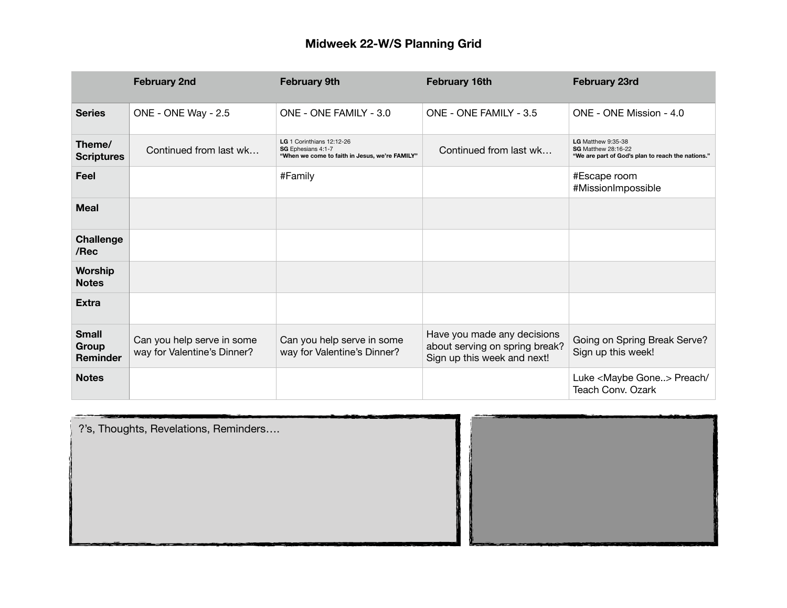|                                          | <b>February 2nd</b>                                       | <b>February 9th</b>                                                                               | <b>February 16th</b>                                                                         | <b>February 23rd</b>                                                                                         |
|------------------------------------------|-----------------------------------------------------------|---------------------------------------------------------------------------------------------------|----------------------------------------------------------------------------------------------|--------------------------------------------------------------------------------------------------------------|
| <b>Series</b>                            | ONE - ONE Way - 2.5                                       | ONE - ONE FAMILY - 3.0                                                                            | ONE - ONE FAMILY - 3.5                                                                       | ONE - ONE Mission - 4.0                                                                                      |
| Theme/<br><b>Scriptures</b>              | Continued from last wk                                    | LG 1 Corinthians 12:12-26<br>SG Ephesians 4:1-7<br>"When we come to faith in Jesus, we're FAMILY" | Continued from last wk                                                                       | <b>LG</b> Matthew 9:35-38<br><b>SG</b> Matthew 28:16-22<br>"We are part of God's plan to reach the nations." |
| Feel                                     |                                                           | #Family                                                                                           |                                                                                              | #Escape room<br>#MissionImpossible                                                                           |
| <b>Meal</b>                              |                                                           |                                                                                                   |                                                                                              |                                                                                                              |
| <b>Challenge</b><br>/Rec                 |                                                           |                                                                                                   |                                                                                              |                                                                                                              |
| Worship<br><b>Notes</b>                  |                                                           |                                                                                                   |                                                                                              |                                                                                                              |
| <b>Extra</b>                             |                                                           |                                                                                                   |                                                                                              |                                                                                                              |
| <b>Small</b><br>Group<br><b>Reminder</b> | Can you help serve in some<br>way for Valentine's Dinner? | Can you help serve in some<br>way for Valentine's Dinner?                                         | Have you made any decisions<br>about serving on spring break?<br>Sign up this week and next! | Going on Spring Break Serve?<br>Sign up this week!                                                           |
| <b>Notes</b>                             |                                                           |                                                                                                   |                                                                                              | Luke <maybe gone=""> Preach/<br/>Teach Conv. Ozark</maybe>                                                   |

| ?'s, Thoughts, Revelations, Reminders |  |
|---------------------------------------|--|
|                                       |  |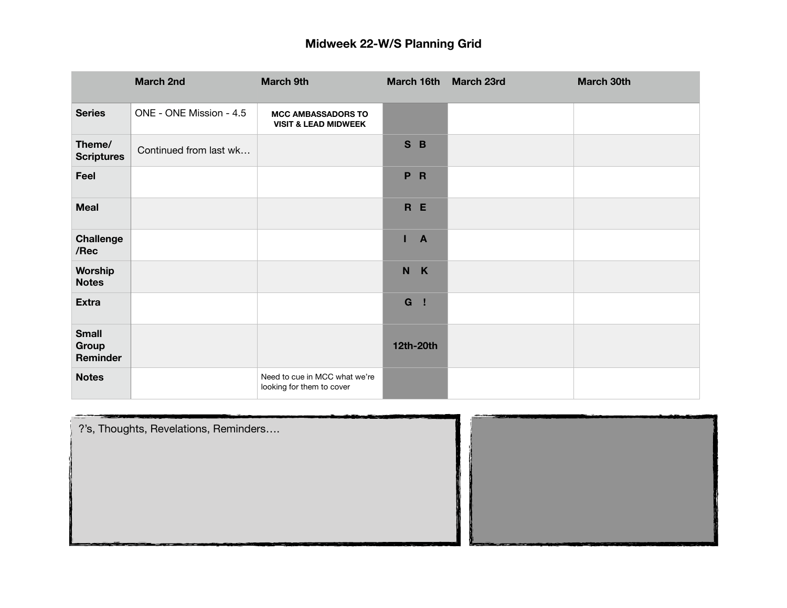|                                   | <b>March 2nd</b>        | <b>March 9th</b>                                             | March 16th          | <b>March 23rd</b> | March 30th |
|-----------------------------------|-------------------------|--------------------------------------------------------------|---------------------|-------------------|------------|
| <b>Series</b>                     | ONE - ONE Mission - 4.5 | <b>MCC AMBASSADORS TO</b><br><b>VISIT &amp; LEAD MIDWEEK</b> |                     |                   |            |
| Theme/<br><b>Scriptures</b>       | Continued from last wk  |                                                              | S B                 |                   |            |
| Feel                              |                         |                                                              | P <sub>R</sub>      |                   |            |
| Meal                              |                         |                                                              | R E                 |                   |            |
| <b>Challenge</b><br>/Rec          |                         |                                                              | п<br>$\overline{A}$ |                   |            |
| Worship<br><b>Notes</b>           |                         |                                                              | N K                 |                   |            |
| <b>Extra</b>                      |                         |                                                              | G !                 |                   |            |
| <b>Small</b><br>Group<br>Reminder |                         |                                                              | 12th-20th           |                   |            |
| <b>Notes</b>                      |                         | Need to cue in MCC what we're<br>looking for them to cover   |                     |                   |            |

| ?'s, Thoughts, Revelations, Reminders |  |
|---------------------------------------|--|
|                                       |  |
|                                       |  |
|                                       |  |
|                                       |  |
|                                       |  |
|                                       |  |
| ___                                   |  |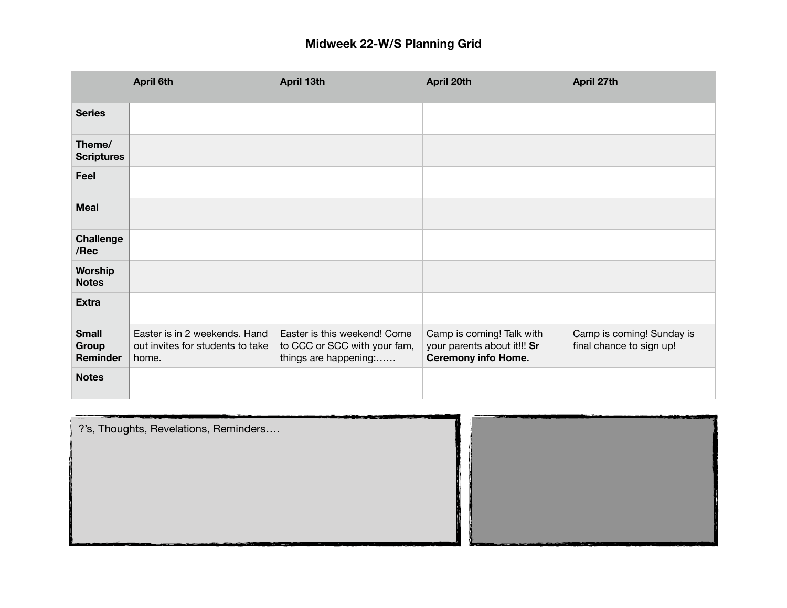|                                   | <b>April 6th</b>                                                           | April 13th                                                                            | April 20th                                                                             | April 27th                                            |
|-----------------------------------|----------------------------------------------------------------------------|---------------------------------------------------------------------------------------|----------------------------------------------------------------------------------------|-------------------------------------------------------|
| <b>Series</b>                     |                                                                            |                                                                                       |                                                                                        |                                                       |
| Theme/<br><b>Scriptures</b>       |                                                                            |                                                                                       |                                                                                        |                                                       |
| Feel                              |                                                                            |                                                                                       |                                                                                        |                                                       |
| <b>Meal</b>                       |                                                                            |                                                                                       |                                                                                        |                                                       |
| Challenge<br>/Rec                 |                                                                            |                                                                                       |                                                                                        |                                                       |
| Worship<br><b>Notes</b>           |                                                                            |                                                                                       |                                                                                        |                                                       |
| <b>Extra</b>                      |                                                                            |                                                                                       |                                                                                        |                                                       |
| <b>Small</b><br>Group<br>Reminder | Easter is in 2 weekends. Hand<br>out invites for students to take<br>home. | Easter is this weekend! Come<br>to CCC or SCC with your fam,<br>things are happening: | Camp is coming! Talk with<br>your parents about it!!! Sr<br><b>Ceremony info Home.</b> | Camp is coming! Sunday is<br>final chance to sign up! |
| <b>Notes</b>                      |                                                                            |                                                                                       |                                                                                        |                                                       |

| ?'s, Thoughts, Revelations, Reminders |  |  |
|---------------------------------------|--|--|
|                                       |  |  |
|                                       |  |  |
|                                       |  |  |
|                                       |  |  |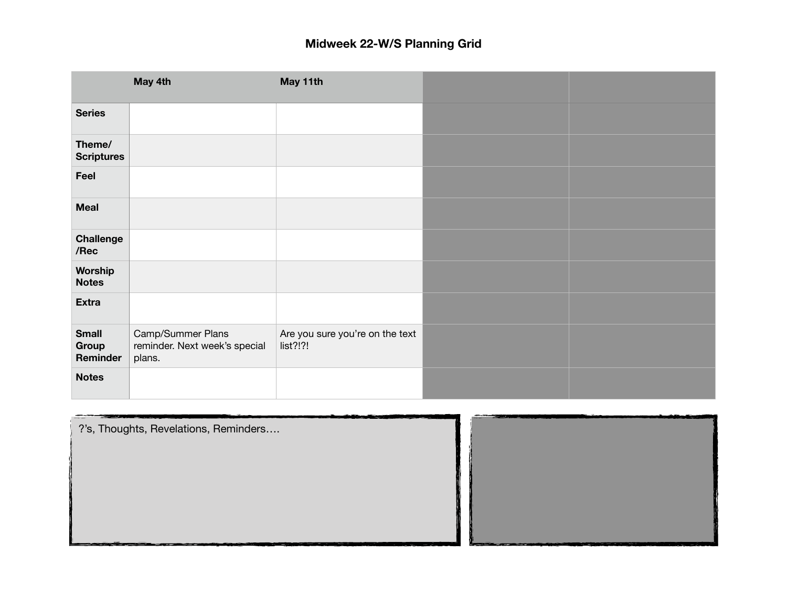|                                   | May 4th                                                      | May 11th                                    |  |
|-----------------------------------|--------------------------------------------------------------|---------------------------------------------|--|
| <b>Series</b>                     |                                                              |                                             |  |
| Theme/<br><b>Scriptures</b>       |                                                              |                                             |  |
| Feel                              |                                                              |                                             |  |
| <b>Meal</b>                       |                                                              |                                             |  |
| <b>Challenge</b><br>/Rec          |                                                              |                                             |  |
| Worship<br><b>Notes</b>           |                                                              |                                             |  |
| <b>Extra</b>                      |                                                              |                                             |  |
| <b>Small</b><br>Group<br>Reminder | Camp/Summer Plans<br>reminder. Next week's special<br>plans. | Are you sure you're on the text<br>list?!?! |  |
| <b>Notes</b>                      |                                                              |                                             |  |

?'s, Thoughts, Revelations, Reminders….